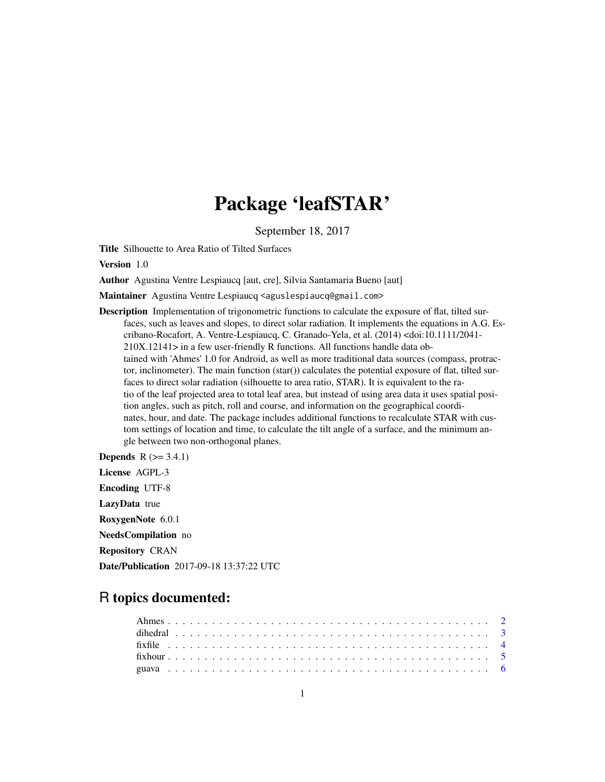# Package 'leafSTAR'

September 18, 2017

Title Silhouette to Area Ratio of Tilted Surfaces

Version 1.0

Author Agustina Ventre Lespiaucq [aut, cre], Silvia Santamaria Bueno [aut]

Maintainer Agustina Ventre Lespiaucq <aguslespiaucq@gmail.com>

- Description Implementation of trigonometric functions to calculate the exposure of flat, tilted surfaces, such as leaves and slopes, to direct solar radiation. It implements the equations in A.G. Escribano-Rocafort, A. Ventre-Lespiaucq, C. Granado-Yela, et al. (2014) <doi:10.1111/2041- 210X.12141> in a few user-friendly R functions. All functions handle data obtained with 'Ahmes' 1.0 for Android, as well as more traditional data sources (compass, protractor, inclinometer). The main function (star()) calculates the potential exposure of flat, tilted surfaces to direct solar radiation (silhouette to area ratio, STAR). It is equivalent to the ratio of the leaf projected area to total leaf area, but instead of using area data it uses spatial position angles, such as pitch, roll and course, and information on the geographical coordinates, hour, and date. The package includes additional functions to recalculate STAR with custom settings of location and time, to calculate the tilt angle of a surface, and the minimum angle between two non-orthogonal planes.
- **Depends**  $R$  ( $>= 3.4.1$ ) License AGPL-3 Encoding UTF-8 LazyData true RoxygenNote 6.0.1 NeedsCompilation no Repository CRAN Date/Publication 2017-09-18 13:37:22 UTC

## R topics documented: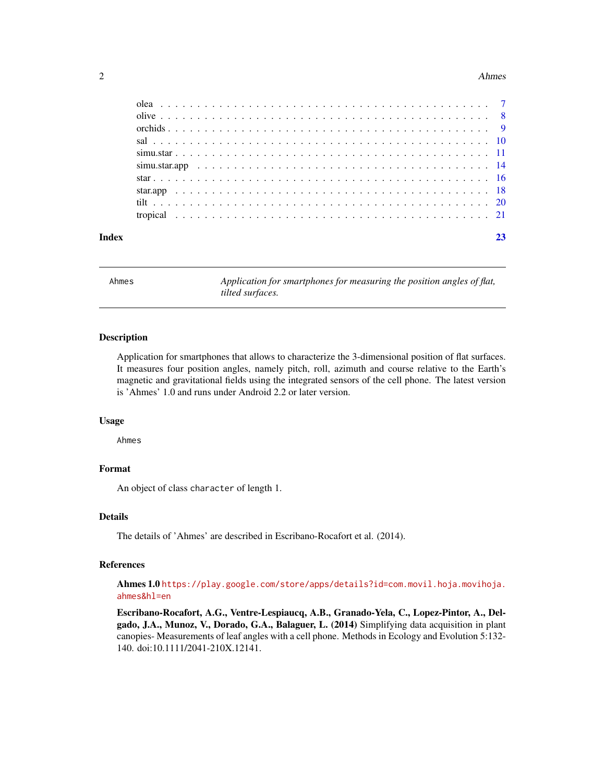#### <span id="page-1-0"></span>2 Ahmes

| Index |  |  |  |  |  |  |  |  |  |  |  |  |  |  |  |  |
|-------|--|--|--|--|--|--|--|--|--|--|--|--|--|--|--|--|
|       |  |  |  |  |  |  |  |  |  |  |  |  |  |  |  |  |
|       |  |  |  |  |  |  |  |  |  |  |  |  |  |  |  |  |
|       |  |  |  |  |  |  |  |  |  |  |  |  |  |  |  |  |
|       |  |  |  |  |  |  |  |  |  |  |  |  |  |  |  |  |
|       |  |  |  |  |  |  |  |  |  |  |  |  |  |  |  |  |
|       |  |  |  |  |  |  |  |  |  |  |  |  |  |  |  |  |
|       |  |  |  |  |  |  |  |  |  |  |  |  |  |  |  |  |
|       |  |  |  |  |  |  |  |  |  |  |  |  |  |  |  |  |
|       |  |  |  |  |  |  |  |  |  |  |  |  |  |  |  |  |
|       |  |  |  |  |  |  |  |  |  |  |  |  |  |  |  |  |

<span id="page-1-1"></span>Ahmes *Application for smartphones for measuring the position angles of flat, tilted surfaces.*

#### Description

Application for smartphones that allows to characterize the 3-dimensional position of flat surfaces. It measures four position angles, namely pitch, roll, azimuth and course relative to the Earth's magnetic and gravitational fields using the integrated sensors of the cell phone. The latest version is 'Ahmes' 1.0 and runs under Android 2.2 or later version.

#### Usage

Ahmes

#### Format

An object of class character of length 1.

#### Details

The details of 'Ahmes' are described in Escribano-Rocafort et al. (2014).

#### References

Ahmes 1.0 [https://play.google.com/store/apps/details?id=com.movil.hoja.movihoja.](https://play.google.com/store/apps/details?id=com.movil.hoja.movihoja.ahmes&hl=en) [ahmes&hl=en](https://play.google.com/store/apps/details?id=com.movil.hoja.movihoja.ahmes&hl=en)

Escribano-Rocafort, A.G., Ventre-Lespiaucq, A.B., Granado-Yela, C., Lopez-Pintor, A., Delgado, J.A., Munoz, V., Dorado, G.A., Balaguer, L. (2014) Simplifying data acquisition in plant canopies- Measurements of leaf angles with a cell phone. Methods in Ecology and Evolution 5:132- 140. doi:10.1111/2041-210X.12141.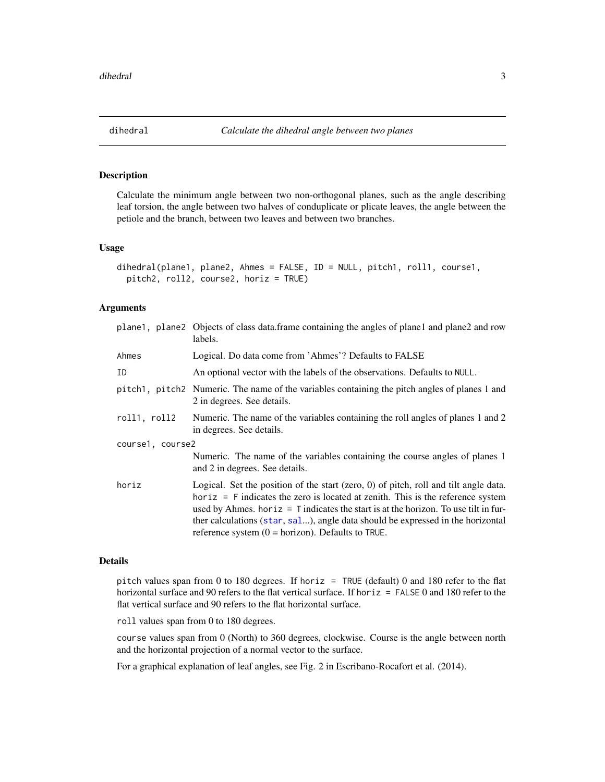<span id="page-2-0"></span>

#### Description

Calculate the minimum angle between two non-orthogonal planes, such as the angle describing leaf torsion, the angle between two halves of conduplicate or plicate leaves, the angle between the petiole and the branch, between two leaves and between two branches.

#### Usage

```
dihedral(plane1, plane2, Ahmes = FALSE, ID = NULL, pitch1, roll1, course1,
 pitch2, roll2, course2, horiz = TRUE)
```
#### Arguments

|                  | plane1, plane2 Objects of class data.frame containing the angles of plane1 and plane2 and row<br>labels.                                                                                                                                                                                                                                                                                                         |
|------------------|------------------------------------------------------------------------------------------------------------------------------------------------------------------------------------------------------------------------------------------------------------------------------------------------------------------------------------------------------------------------------------------------------------------|
| Ahmes            | Logical. Do data come from 'Ahmes'? Defaults to FALSE                                                                                                                                                                                                                                                                                                                                                            |
| ID               | An optional vector with the labels of the observations. Defaults to NULL.                                                                                                                                                                                                                                                                                                                                        |
|                  | pitch1, pitch2 Numeric. The name of the variables containing the pitch angles of planes 1 and<br>2 in degrees. See details.                                                                                                                                                                                                                                                                                      |
| roll1, roll2     | Numeric. The name of the variables containing the roll angles of planes 1 and 2<br>in degrees. See details.                                                                                                                                                                                                                                                                                                      |
| course1, course2 |                                                                                                                                                                                                                                                                                                                                                                                                                  |
|                  | Numeric. The name of the variables containing the course angles of planes 1<br>and 2 in degrees. See details.                                                                                                                                                                                                                                                                                                    |
| horiz            | Logical. Set the position of the start (zero, $0$ ) of pitch, roll and tilt angle data.<br>$horiz = F$ indicates the zero is located at zenith. This is the reference system<br>used by Ahmes. horiz = $T$ indicates the start is at the horizon. To use tilt in fur-<br>ther calculations (star, sal), angle data should be expressed in the horizontal<br>reference system $(0 = horizon)$ . Defaults to TRUE. |

#### Details

pitch values span from 0 to 180 degrees. If horiz = TRUE (default) 0 and 180 refer to the flat horizontal surface and 90 refers to the flat vertical surface. If horiz = FALSE 0 and 180 refer to the flat vertical surface and 90 refers to the flat horizontal surface.

roll values span from 0 to 180 degrees.

course values span from 0 (North) to 360 degrees, clockwise. Course is the angle between north and the horizontal projection of a normal vector to the surface.

For a graphical explanation of leaf angles, see Fig. 2 in Escribano-Rocafort et al. (2014).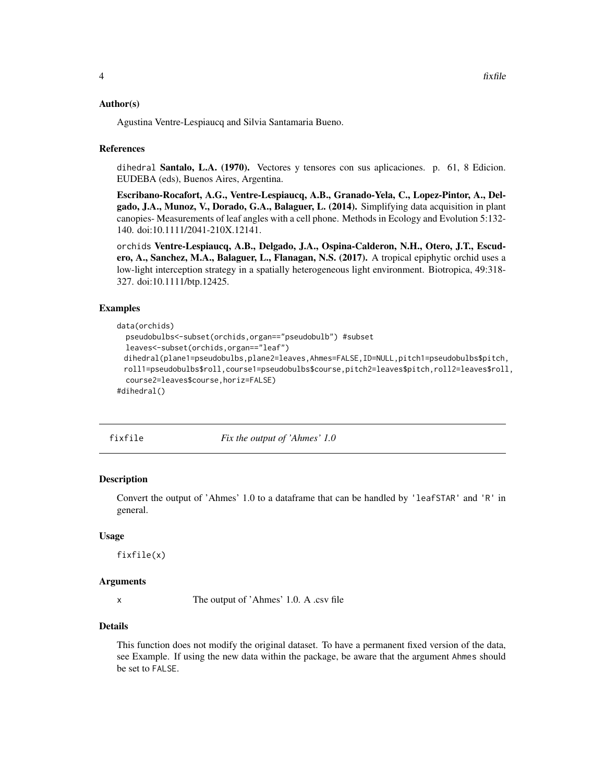#### <span id="page-3-0"></span>Author(s)

Agustina Ventre-Lespiaucq and Silvia Santamaria Bueno.

#### References

dihedral Santalo, L.A. (1970). Vectores y tensores con sus aplicaciones. p. 61, 8 Edicion. EUDEBA (eds), Buenos Aires, Argentina.

Escribano-Rocafort, A.G., Ventre-Lespiaucq, A.B., Granado-Yela, C., Lopez-Pintor, A., Delgado, J.A., Munoz, V., Dorado, G.A., Balaguer, L. (2014). Simplifying data acquisition in plant canopies- Measurements of leaf angles with a cell phone. Methods in Ecology and Evolution 5:132- 140. doi:10.1111/2041-210X.12141.

orchids Ventre-Lespiaucq, A.B., Delgado, J.A., Ospina-Calderon, N.H., Otero, J.T., Escudero, A., Sanchez, M.A., Balaguer, L., Flanagan, N.S. (2017). A tropical epiphytic orchid uses a low-light interception strategy in a spatially heterogeneous light environment. Biotropica, 49:318- 327. doi:10.1111/btp.12425.

#### Examples

```
data(orchids)
 pseudobulbs<-subset(orchids,organ=="pseudobulb") #subset
 leaves<-subset(orchids,organ=="leaf")
 dihedral(plane1=pseudobulbs,plane2=leaves,Ahmes=FALSE,ID=NULL,pitch1=pseudobulbs$pitch,
 roll1=pseudobulbs$roll,course1=pseudobulbs$course,pitch2=leaves$pitch,roll2=leaves$roll,
  course2=leaves$course,horiz=FALSE)
#dihedral()
```
<span id="page-3-1"></span>

fixfile *Fix the output of 'Ahmes' 1.0*

#### **Description**

Convert the output of 'Ahmes' 1.0 to a dataframe that can be handled by 'leafSTAR' and 'R' in general.

#### Usage

fixfile(x)

#### Arguments

x The output of 'Ahmes' 1.0. A .csv file

#### Details

This function does not modify the original dataset. To have a permanent fixed version of the data, see Example. If using the new data within the package, be aware that the argument Ahmes should be set to FALSE.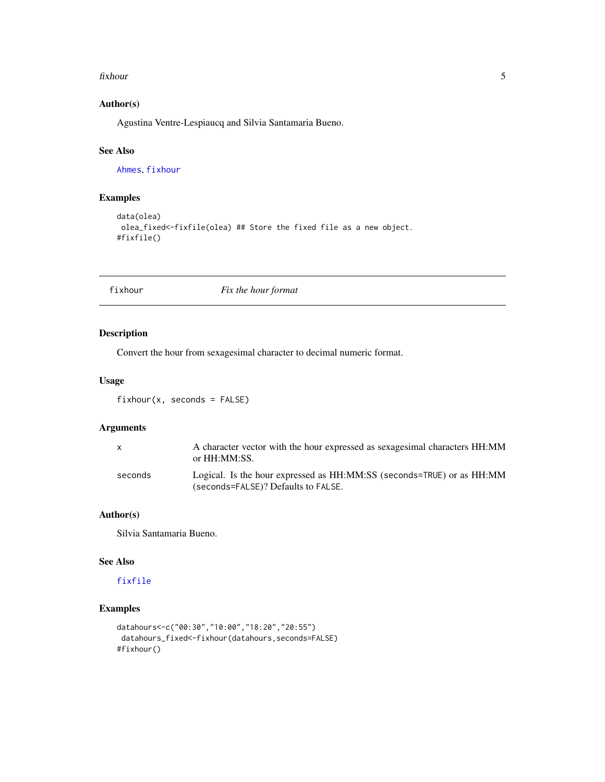#### <span id="page-4-0"></span>fixhour 5

#### Author(s)

Agustina Ventre-Lespiaucq and Silvia Santamaria Bueno.

#### See Also

[Ahmes](#page-1-1), [fixhour](#page-4-1)

#### Examples

```
data(olea)
olea_fixed<-fixfile(olea) ## Store the fixed file as a new object.
#fixfile()
```
<span id="page-4-1"></span>fixhour *Fix the hour format*

#### Description

Convert the hour from sexagesimal character to decimal numeric format.

#### Usage

fixhour(x, seconds = FALSE)

#### Arguments

|         | A character vector with the hour expressed as sexagesimal characters HH:MM<br>or HH:MM:SS.                   |
|---------|--------------------------------------------------------------------------------------------------------------|
| seconds | Logical. Is the hour expressed as HH:MM:SS (seconds=TRUE) or as HH:MM<br>(seconds=FALSE)? Defaults to FALSE. |

#### Author(s)

Silvia Santamaria Bueno.

#### See Also

#### [fixfile](#page-3-1)

## Examples

```
datahours<-c("00:30","10:00","18:20","20:55")
datahours_fixed<-fixhour(datahours,seconds=FALSE)
#fixhour()
```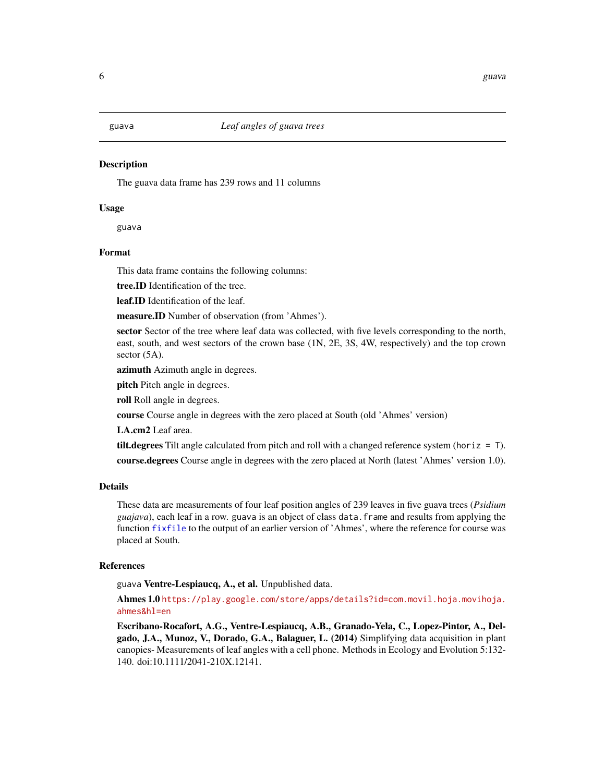#### <span id="page-5-0"></span>**Description**

The guava data frame has 239 rows and 11 columns

#### Usage

guava

#### Format

This data frame contains the following columns:

tree.ID Identification of the tree.

leaf.ID Identification of the leaf.

measure.ID Number of observation (from 'Ahmes').

sector Sector of the tree where leaf data was collected, with five levels corresponding to the north, east, south, and west sectors of the crown base (1N, 2E, 3S, 4W, respectively) and the top crown sector  $(5A)$ .

azimuth Azimuth angle in degrees.

pitch Pitch angle in degrees.

roll Roll angle in degrees.

course Course angle in degrees with the zero placed at South (old 'Ahmes' version)

LA.cm2 Leaf area.

**tilt.degrees** Tilt angle calculated from pitch and roll with a changed reference system (horiz  $= T$ ). course.degrees Course angle in degrees with the zero placed at North (latest 'Ahmes' version 1.0).

#### Details

These data are measurements of four leaf position angles of 239 leaves in five guava trees (*Psidium guajava*), each leaf in a row. guava is an object of class data.frame and results from applying the function [fixfile](#page-3-1) to the output of an earlier version of 'Ahmes', where the reference for course was placed at South.

#### References

guava Ventre-Lespiaucq, A., et al. Unpublished data.

Ahmes 1.0 [https://play.google.com/store/apps/details?id=com.movil.hoja.movihoja.](https://play.google.com/store/apps/details?id=com.movil.hoja.movihoja.ahmes&hl=en) [ahmes&hl=en](https://play.google.com/store/apps/details?id=com.movil.hoja.movihoja.ahmes&hl=en)

Escribano-Rocafort, A.G., Ventre-Lespiaucq, A.B., Granado-Yela, C., Lopez-Pintor, A., Delgado, J.A., Munoz, V., Dorado, G.A., Balaguer, L. (2014) Simplifying data acquisition in plant canopies- Measurements of leaf angles with a cell phone. Methods in Ecology and Evolution 5:132- 140. doi:10.1111/2041-210X.12141.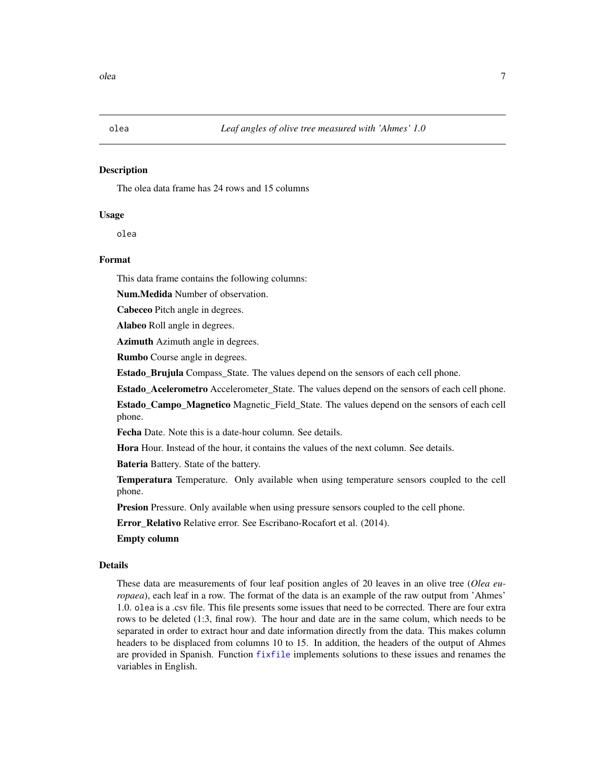<span id="page-6-0"></span>

#### Description

The olea data frame has 24 rows and 15 columns

#### Usage

olea

#### Format

This data frame contains the following columns:

Num.Medida Number of observation.

Cabeceo Pitch angle in degrees.

Alabeo Roll angle in degrees.

Azimuth Azimuth angle in degrees.

Rumbo Course angle in degrees.

Estado\_Brujula Compass\_State. The values depend on the sensors of each cell phone.

Estado\_Acelerometro Accelerometer\_State. The values depend on the sensors of each cell phone.

Estado\_Campo\_Magnetico Magnetic\_Field\_State. The values depend on the sensors of each cell phone.

Fecha Date. Note this is a date-hour column. See details.

Hora Hour. Instead of the hour, it contains the values of the next column. See details.

Bateria Battery. State of the battery.

Temperatura Temperature. Only available when using temperature sensors coupled to the cell phone.

Presion Pressure. Only available when using pressure sensors coupled to the cell phone.

Error\_Relativo Relative error. See Escribano-Rocafort et al. (2014).

Empty column

#### Details

These data are measurements of four leaf position angles of 20 leaves in an olive tree (*Olea europaea*), each leaf in a row. The format of the data is an example of the raw output from 'Ahmes' 1.0. olea is a .csv file. This file presents some issues that need to be corrected. There are four extra rows to be deleted (1:3, final row). The hour and date are in the same colum, which needs to be separated in order to extract hour and date information directly from the data. This makes column headers to be displaced from columns 10 to 15. In addition, the headers of the output of Ahmes are provided in Spanish. Function [fixfile](#page-3-1) implements solutions to these issues and renames the variables in English.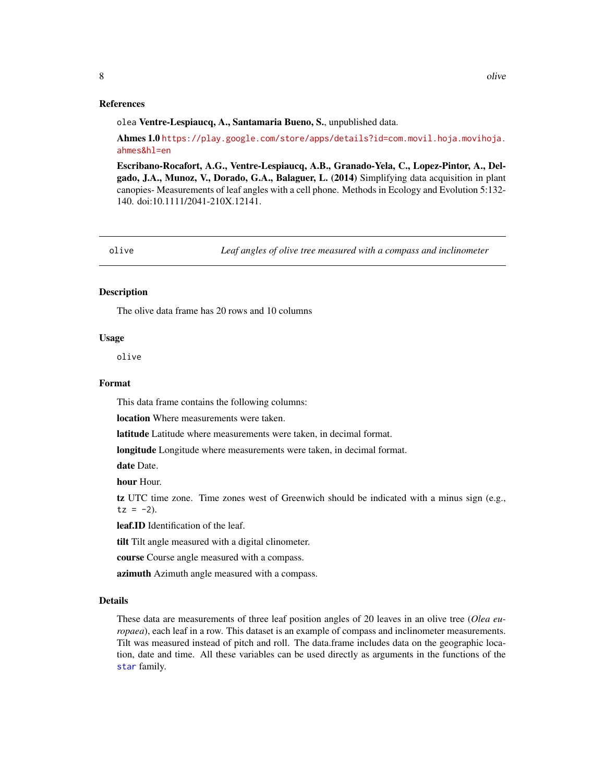#### <span id="page-7-0"></span>References

olea Ventre-Lespiaucq, A., Santamaria Bueno, S., unpublished data.

Ahmes 1.0 [https://play.google.com/store/apps/details?id=com.movil.hoja.movihoja.](https://play.google.com/store/apps/details?id=com.movil.hoja.movihoja.ahmes&hl=en) [ahmes&hl=en](https://play.google.com/store/apps/details?id=com.movil.hoja.movihoja.ahmes&hl=en)

Escribano-Rocafort, A.G., Ventre-Lespiaucq, A.B., Granado-Yela, C., Lopez-Pintor, A., Delgado, J.A., Munoz, V., Dorado, G.A., Balaguer, L. (2014) Simplifying data acquisition in plant canopies- Measurements of leaf angles with a cell phone. Methods in Ecology and Evolution 5:132- 140. doi:10.1111/2041-210X.12141.

olive *Leaf angles of olive tree measured with a compass and inclinometer*

#### **Description**

The olive data frame has 20 rows and 10 columns

#### Usage

olive

#### Format

This data frame contains the following columns:

location Where measurements were taken.

latitude Latitude where measurements were taken, in decimal format.

longitude Longitude where measurements were taken, in decimal format.

date Date.

hour Hour.

tz UTC time zone. Time zones west of Greenwich should be indicated with a minus sign (e.g.,  $tz = -2$ ).

leaf.ID Identification of the leaf.

tilt Tilt angle measured with a digital clinometer.

course Course angle measured with a compass.

azimuth Azimuth angle measured with a compass.

#### Details

These data are measurements of three leaf position angles of 20 leaves in an olive tree (*Olea europaea*), each leaf in a row. This dataset is an example of compass and inclinometer measurements. Tilt was measured instead of pitch and roll. The data.frame includes data on the geographic location, date and time. All these variables can be used directly as arguments in the functions of the [star](#page-15-1) family.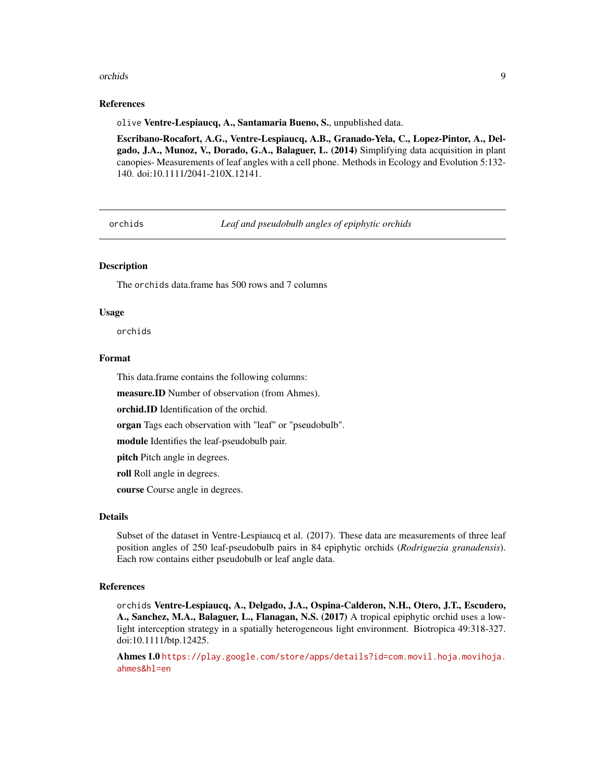#### <span id="page-8-0"></span>orchids **9**

#### References

olive Ventre-Lespiaucq, A., Santamaria Bueno, S., unpublished data.

Escribano-Rocafort, A.G., Ventre-Lespiaucq, A.B., Granado-Yela, C., Lopez-Pintor, A., Delgado, J.A., Munoz, V., Dorado, G.A., Balaguer, L. (2014) Simplifying data acquisition in plant canopies- Measurements of leaf angles with a cell phone. Methods in Ecology and Evolution 5:132- 140. doi:10.1111/2041-210X.12141.

orchids *Leaf and pseudobulb angles of epiphytic orchids*

#### **Description**

The orchids data.frame has 500 rows and 7 columns

#### Usage

orchids

#### Format

This data.frame contains the following columns:

measure.ID Number of observation (from Ahmes).

orchid.ID Identification of the orchid.

organ Tags each observation with "leaf" or "pseudobulb".

module Identifies the leaf-pseudobulb pair.

pitch Pitch angle in degrees.

roll Roll angle in degrees.

course Course angle in degrees.

#### Details

Subset of the dataset in Ventre-Lespiaucq et al. (2017). These data are measurements of three leaf position angles of 250 leaf-pseudobulb pairs in 84 epiphytic orchids (*Rodriguezia granadensis*). Each row contains either pseudobulb or leaf angle data.

#### References

orchids Ventre-Lespiaucq, A., Delgado, J.A., Ospina-Calderon, N.H., Otero, J.T., Escudero, A., Sanchez, M.A., Balaguer, L., Flanagan, N.S. (2017) A tropical epiphytic orchid uses a lowlight interception strategy in a spatially heterogeneous light environment. Biotropica 49:318-327. doi:10.1111/btp.12425.

Ahmes 1.0 [https://play.google.com/store/apps/details?id=com.movil.hoja.movihoja.](https://play.google.com/store/apps/details?id=com.movil.hoja.movihoja.ahmes&hl=en) [ahmes&hl=en](https://play.google.com/store/apps/details?id=com.movil.hoja.movihoja.ahmes&hl=en)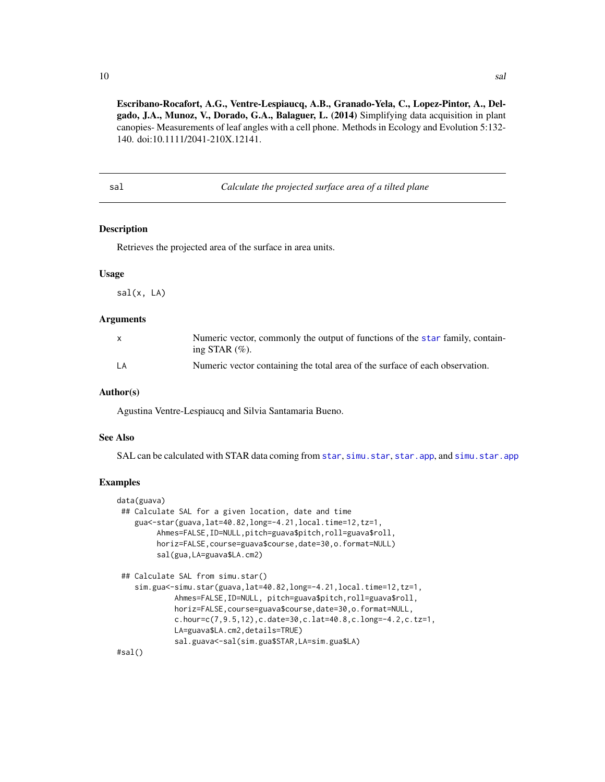<span id="page-9-0"></span>10 sales and the same state of the same state of the sales sales and sales and sales and sales and sales and sales and sales and sales and sales and sales and sales and sales and sales and sales and sales and sales and sal

Escribano-Rocafort, A.G., Ventre-Lespiaucq, A.B., Granado-Yela, C., Lopez-Pintor, A., Delgado, J.A., Munoz, V., Dorado, G.A., Balaguer, L. (2014) Simplifying data acquisition in plant canopies- Measurements of leaf angles with a cell phone. Methods in Ecology and Evolution 5:132- 140. doi:10.1111/2041-210X.12141.

<span id="page-9-1"></span>sal *Calculate the projected surface area of a tilted plane*

#### Description

Retrieves the projected area of the surface in area units.

#### Usage

sal(x, LA)

#### Arguments

| $\mathbf{x}$ | Numeric vector, commonly the output of functions of the star family, contain-<br>ing STAR $(\%).$ |
|--------------|---------------------------------------------------------------------------------------------------|
| LA           | Numeric vector containing the total area of the surface of each observation.                      |

#### Author(s)

Agustina Ventre-Lespiaucq and Silvia Santamaria Bueno.

#### See Also

SAL can be calculated with STAR data coming from [star](#page-15-1), [simu.star](#page-10-1), [star.app](#page-17-1), and [simu.star.app](#page-13-1)

#### Examples

```
data(guava)
## Calculate SAL for a given location, date and time
   gua<-star(guava,lat=40.82,long=-4.21,local.time=12,tz=1,
        Ahmes=FALSE,ID=NULL,pitch=guava$pitch,roll=guava$roll,
        horiz=FALSE,course=guava$course,date=30,o.format=NULL)
         sal(gua,LA=guava$LA.cm2)
 ## Calculate SAL from simu.star()
    sim.gua<-simu.star(guava,lat=40.82,long=-4.21,local.time=12,tz=1,
             Ahmes=FALSE,ID=NULL, pitch=guava$pitch,roll=guava$roll,
             horiz=FALSE,course=guava$course,date=30,o.format=NULL,
             c.hour=c(7,9.5,12),c.date=30,c.lat=40.8,c.long=-4.2,c.tz=1,
             LA=guava$LA.cm2,details=TRUE)
             sal.guava<-sal(sim.gua$STAR,LA=sim.gua$LA)
```
#sal()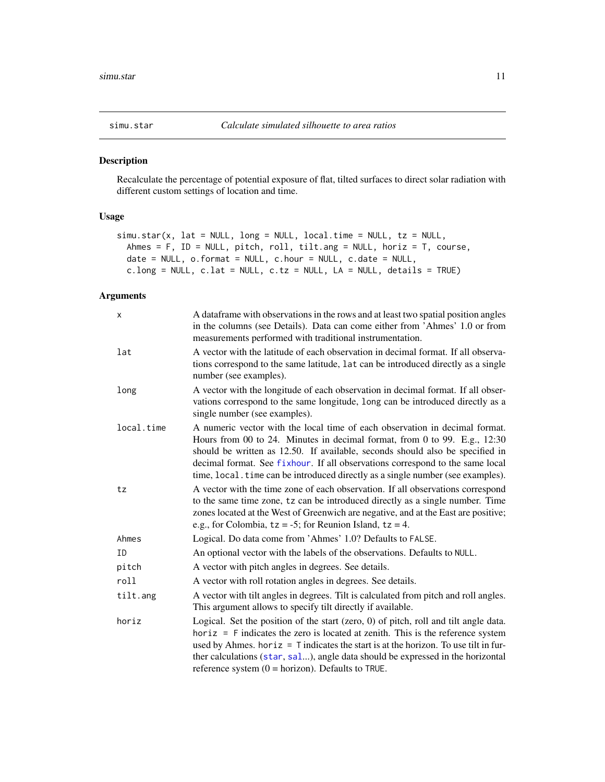<span id="page-10-1"></span><span id="page-10-0"></span>

#### Description

Recalculate the percentage of potential exposure of flat, tilted surfaces to direct solar radiation with different custom settings of location and time.

#### Usage

```
simu.star(x, lat = NULL, long = NULL, local.time = NULL, tz = NULL,
 Ahmes = F, ID = NULL, pitch, roll, tilt.ang = NULL, horiz = T, course,
 date = NULL, o.format = NULL, c.hour = NULL, c.date = NULL,
  c.long = NULL, c.lat = NULL, c.tz = NULL, LA = NULL, details = TRUE)
```
#### Arguments

| x          | A dataframe with observations in the rows and at least two spatial position angles<br>in the columns (see Details). Data can come either from 'Ahmes' 1.0 or from<br>measurements performed with traditional instrumentation.                                                                                                                                                                                 |
|------------|---------------------------------------------------------------------------------------------------------------------------------------------------------------------------------------------------------------------------------------------------------------------------------------------------------------------------------------------------------------------------------------------------------------|
| lat        | A vector with the latitude of each observation in decimal format. If all observa-<br>tions correspond to the same latitude, lat can be introduced directly as a single<br>number (see examples).                                                                                                                                                                                                              |
| long       | A vector with the longitude of each observation in decimal format. If all obser-<br>vations correspond to the same longitude, long can be introduced directly as a<br>single number (see examples).                                                                                                                                                                                                           |
| local.time | A numeric vector with the local time of each observation in decimal format.<br>Hours from 00 to 24. Minutes in decimal format, from 0 to 99. E.g., 12:30<br>should be written as 12.50. If available, seconds should also be specified in<br>decimal format. See fixhour. If all observations correspond to the same local<br>time, local. time can be introduced directly as a single number (see examples). |
| tz         | A vector with the time zone of each observation. If all observations correspond<br>to the same time zone, tz can be introduced directly as a single number. Time<br>zones located at the West of Greenwich are negative, and at the East are positive;<br>e.g., for Colombia, $tz = -5$ ; for Reunion Island, $tz = 4$ .                                                                                      |
| Ahmes      | Logical. Do data come from 'Ahmes' 1.0? Defaults to FALSE.                                                                                                                                                                                                                                                                                                                                                    |
| ΙD         | An optional vector with the labels of the observations. Defaults to NULL.                                                                                                                                                                                                                                                                                                                                     |
| pitch      | A vector with pitch angles in degrees. See details.                                                                                                                                                                                                                                                                                                                                                           |
| roll       | A vector with roll rotation angles in degrees. See details.                                                                                                                                                                                                                                                                                                                                                   |
| tilt.ang   | A vector with tilt angles in degrees. Tilt is calculated from pitch and roll angles.<br>This argument allows to specify tilt directly if available.                                                                                                                                                                                                                                                           |
| horiz      | Logical. Set the position of the start (zero, 0) of pitch, roll and tilt angle data.<br>horiz $=$ F indicates the zero is located at zenith. This is the reference system<br>used by Ahmes. horiz = $T$ indicates the start is at the horizon. To use tilt in fur-<br>ther calculations (star, sal), angle data should be expressed in the horizontal<br>reference system $(0 = horizon)$ . Defaults to TRUE. |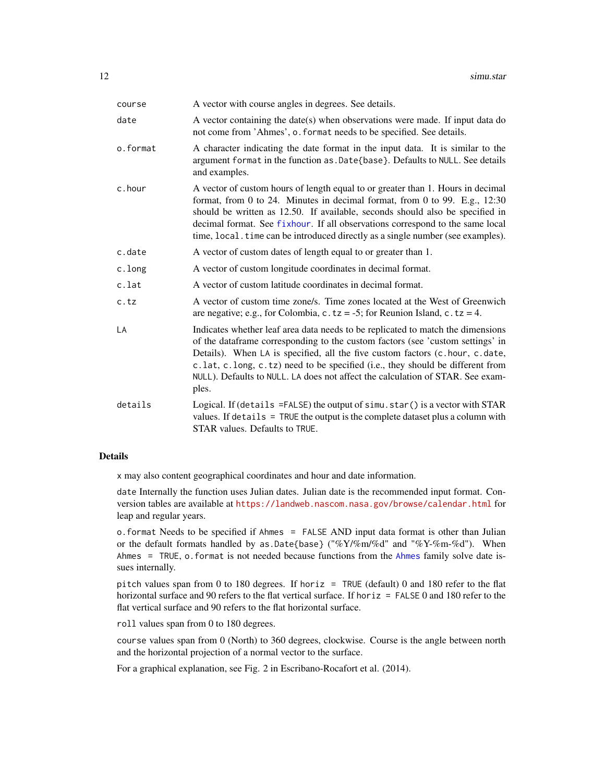<span id="page-11-0"></span>

| course   | A vector with course angles in degrees. See details.                                                                                                                                                                                                                                                                                                                                                                           |
|----------|--------------------------------------------------------------------------------------------------------------------------------------------------------------------------------------------------------------------------------------------------------------------------------------------------------------------------------------------------------------------------------------------------------------------------------|
| date     | A vector containing the date(s) when observations were made. If input data do<br>not come from 'Ahmes', o. format needs to be specified. See details.                                                                                                                                                                                                                                                                          |
| o.format | A character indicating the date format in the input data. It is similar to the<br>argument format in the function as. Date{base}. Defaults to NULL. See details<br>and examples.                                                                                                                                                                                                                                               |
| c.hour   | A vector of custom hours of length equal to or greater than 1. Hours in decimal<br>format, from 0 to 24. Minutes in decimal format, from 0 to 99. E.g., 12:30<br>should be written as 12.50. If available, seconds should also be specified in<br>decimal format. See fixhour. If all observations correspond to the same local<br>time, local. time can be introduced directly as a single number (see examples).             |
| c.date   | A vector of custom dates of length equal to or greater than 1.                                                                                                                                                                                                                                                                                                                                                                 |
| c.long   | A vector of custom longitude coordinates in decimal format.                                                                                                                                                                                                                                                                                                                                                                    |
| c.lat    | A vector of custom latitude coordinates in decimal format.                                                                                                                                                                                                                                                                                                                                                                     |
| c.tz     | A vector of custom time zone/s. Time zones located at the West of Greenwich<br>are negative; e.g., for Colombia, c.tz = -5; for Reunion Island, c.tz = 4.                                                                                                                                                                                                                                                                      |
| LA       | Indicates whether leaf area data needs to be replicated to match the dimensions<br>of the dataframe corresponding to the custom factors (see 'custom settings' in<br>Details). When LA is specified, all the five custom factors (c.hour, c.date,<br>c.lat, c.long, c.tz) need to be specified (i.e., they should be different from<br>NULL). Defaults to NULL. LA does not affect the calculation of STAR. See exam-<br>ples. |
| details  | Logical. If (details =FALSE) the output of simu.star () is a vector with STAR<br>values. If details $=$ TRUE the output is the complete dataset plus a column with<br>STAR values. Defaults to TRUE.                                                                                                                                                                                                                           |

#### Details

x may also content geographical coordinates and hour and date information.

date Internally the function uses Julian dates. Julian date is the recommended input format. Conversion tables are available at <https://landweb.nascom.nasa.gov/browse/calendar.html> for leap and regular years.

o.format Needs to be specified if Ahmes = FALSE AND input data format is other than Julian or the default formats handled by as  $Date{base}$  ("% $Y/\%m/\%d$ " and "% $Y-\%m-\%d$ "). When Ahmes = TRUE, o.format is not needed because functions from the [Ahmes](#page-1-1) family solve date issues internally.

pitch values span from 0 to 180 degrees. If horiz = TRUE (default) 0 and 180 refer to the flat horizontal surface and 90 refers to the flat vertical surface. If horiz = FALSE 0 and 180 refer to the flat vertical surface and 90 refers to the flat horizontal surface.

roll values span from 0 to 180 degrees.

course values span from 0 (North) to 360 degrees, clockwise. Course is the angle between north and the horizontal projection of a normal vector to the surface.

For a graphical explanation, see Fig. 2 in Escribano-Rocafort et al. (2014).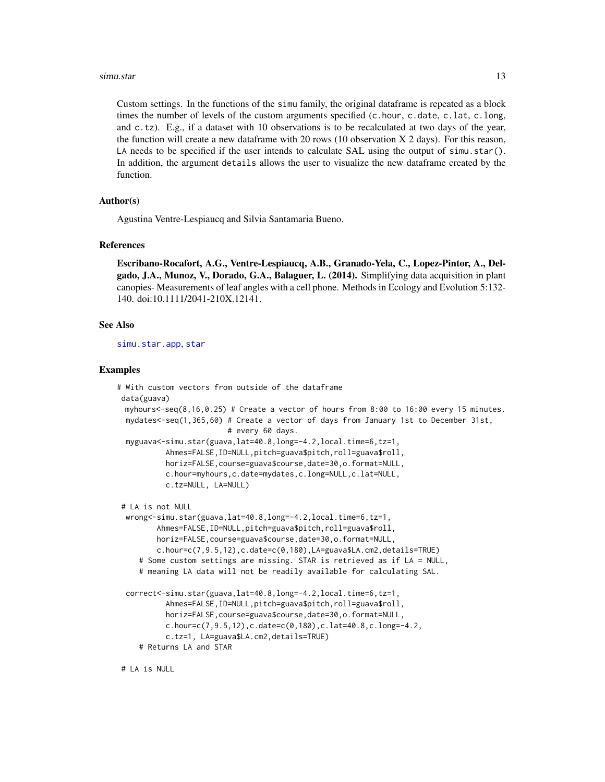#### <span id="page-12-0"></span>simu.star 13

Custom settings. In the functions of the simu family, the original dataframe is repeated as a block times the number of levels of the custom arguments specified (c.hour, c.date, c.lat, c.long, and c.tz). E.g., if a dataset with 10 observations is to be recalculated at two days of the year, the function will create a new dataframe with 20 rows (10 observation X 2 days). For this reason, LA needs to be specified if the user intends to calculate SAL using the output of simu.star(). In addition, the argument details allows the user to visualize the new dataframe created by the function.

#### Author(s)

Agustina Ventre-Lespiaucq and Silvia Santamaria Bueno.

#### References

Escribano-Rocafort, A.G., Ventre-Lespiaucq, A.B., Granado-Yela, C., Lopez-Pintor, A., Delgado, J.A., Munoz, V., Dorado, G.A., Balaguer, L. (2014). Simplifying data acquisition in plant canopies- Measurements of leaf angles with a cell phone. Methods in Ecology and Evolution 5:132- 140. doi:10.1111/2041-210X.12141.

#### See Also

[simu.star.app](#page-13-1), [star](#page-15-1)

#### Examples

```
# With custom vectors from outside of the dataframe
data(guava)
 myhours<-seq(8,16,0.25) # Create a vector of hours from 8:00 to 16:00 every 15 minutes.
 mydates<-seq(1,365,60) # Create a vector of days from January 1st to December 31st,
                         # every 60 days.
 myguava<-simu.star(guava,lat=40.8,long=-4.2,local.time=6,tz=1,
           Ahmes=FALSE,ID=NULL,pitch=guava$pitch,roll=guava$roll,
           horiz=FALSE,course=guava$course,date=30,o.format=NULL,
           c.hour=myhours,c.date=mydates,c.long=NULL,c.lat=NULL,
           c.tz=NULL, LA=NULL)
# LA is not NULL
 wrong<-simu.star(guava,lat=40.8,long=-4.2,local.time=6,tz=1,
         Ahmes=FALSE,ID=NULL,pitch=guava$pitch,roll=guava$roll,
        horiz=FALSE,course=guava$course,date=30,o.format=NULL,
         c.hour=c(7,9.5,12),c.date=c(0,180),LA=guava$LA.cm2,details=TRUE)
     # Some custom settings are missing. STAR is retrieved as if LA = NULL,
     # meaning LA data will not be readily available for calculating SAL.
 correct<-simu.star(guava,lat=40.8,long=-4.2,local.time=6,tz=1,
           Ahmes=FALSE, ID=NULL, pitch=guava$pitch, roll=guava$roll,
           horiz=FALSE,course=guava$course,date=30,o.format=NULL,
           c.hour=c(7,9.5,12),c.date=c(0,180),c.lat=40.8,c.long=-4.2,
           c.tz=1, LA=guava$LA.cm2,details=TRUE)
    # Returns LA and STAR
```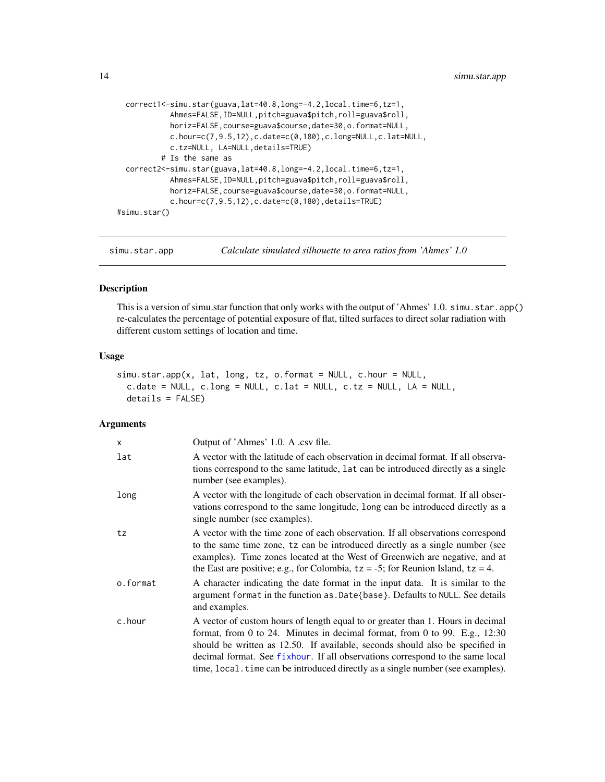```
correct1<-simu.star(guava,lat=40.8,long=-4.2,local.time=6,tz=1,
           Ahmes=FALSE,ID=NULL,pitch=guava$pitch,roll=guava$roll,
           horiz=FALSE,course=guava$course,date=30,o.format=NULL,
           c.hour=c(7,9.5,12),c.date=c(0,180),c.long=NULL,c.lat=NULL,
           c.tz=NULL, LA=NULL,details=TRUE)
         # Is the same as
 correct2<-simu.star(guava,lat=40.8,long=-4.2,local.time=6,tz=1,
           Ahmes=FALSE,ID=NULL,pitch=guava$pitch,roll=guava$roll,
           horiz=FALSE,course=guava$course,date=30,o.format=NULL,
           c.hour=c(7,9.5,12),c.date=c(0,180),details=TRUE)
#simu.star()
```
<span id="page-13-1"></span>simu.star.app *Calculate simulated silhouette to area ratios from 'Ahmes' 1.0*

#### Description

This is a version of simu.star function that only works with the output of 'Ahmes' 1.0. simu.star.app() re-calculates the percentage of potential exposure of flat, tilted surfaces to direct solar radiation with different custom settings of location and time.

#### Usage

```
simu.star.app(x, lat, long, tz, o.format = NULL, c.hour = NULL,
 c.date = NULL, c.long = NULL, c.lat = NULL, c.tz = NULL, LA = NULL,
 details = FALSE)
```
#### Arguments

| $\times$ | Output of 'Ahmes' 1.0. A .csv file.                                                                                                                                                                                                                                                                                                                                                                                 |
|----------|---------------------------------------------------------------------------------------------------------------------------------------------------------------------------------------------------------------------------------------------------------------------------------------------------------------------------------------------------------------------------------------------------------------------|
| lat      | A vector with the latitude of each observation in decimal format. If all observa-<br>tions correspond to the same latitude, Lat can be introduced directly as a single<br>number (see examples).                                                                                                                                                                                                                    |
| long     | A vector with the longitude of each observation in decimal format. If all obser-<br>vations correspond to the same longitude, long can be introduced directly as a<br>single number (see examples).                                                                                                                                                                                                                 |
| tz       | A vector with the time zone of each observation. If all observations correspond<br>to the same time zone, tz can be introduced directly as a single number (see<br>examples). Time zones located at the West of Greenwich are negative, and at<br>the East are positive; e.g., for Colombia, $tz = -5$ ; for Reunion Island, $tz = 4$ .                                                                             |
| o.format | A character indicating the date format in the input data. It is similar to the<br>argument format in the function as . Date {base}. Defaults to NULL. See details<br>and examples.                                                                                                                                                                                                                                  |
| c.hour   | A vector of custom hours of length equal to or greater than 1. Hours in decimal<br>format, from 0 to 24. Minutes in decimal format, from 0 to 99. E.g., $12:30$<br>should be written as 12.50. If available, seconds should also be specified in<br>decimal format. See fixhour. If all observations correspond to the same local<br>time, local time can be introduced directly as a single number (see examples). |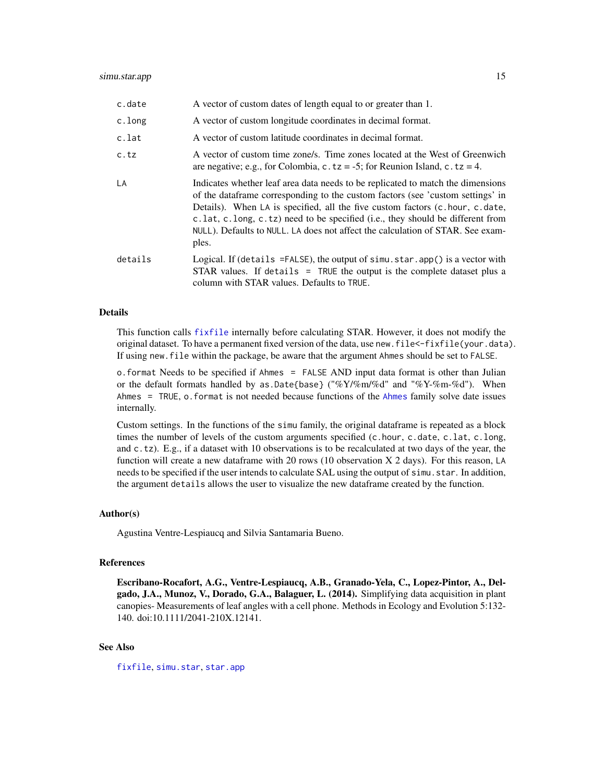<span id="page-14-0"></span>

| c.date  | A vector of custom dates of length equal to or greater than 1.                                                                                                                                                                                                                                                                                                                                                                                                 |
|---------|----------------------------------------------------------------------------------------------------------------------------------------------------------------------------------------------------------------------------------------------------------------------------------------------------------------------------------------------------------------------------------------------------------------------------------------------------------------|
| c.long  | A vector of custom longitude coordinates in decimal format.                                                                                                                                                                                                                                                                                                                                                                                                    |
| c.lat   | A vector of custom latitude coordinates in decimal format.                                                                                                                                                                                                                                                                                                                                                                                                     |
| c.tz    | A vector of custom time zone/s. Time zones located at the West of Greenwich<br>are negative; e.g., for Colombia, c.tz = -5; for Reunion Island, c.tz = 4.                                                                                                                                                                                                                                                                                                      |
| LA      | Indicates whether leaf area data needs to be replicated to match the dimensions<br>of the data frame corresponding to the custom factors (see 'custom settings' in<br>Details). When LA is specified, all the five custom factors $(c \cdot hour, c \cdot date, c \cdot date)$<br>c. lat, c. long, c. tz) need to be specified (i.e., they should be different from<br>NULL). Defaults to NULL. LA does not affect the calculation of STAR. See exam-<br>ples. |
| details | Logical. If (details = FALSE), the output of $sim$ . star. app() is a vector with<br>STAR values. If details $=$ TRUE the output is the complete dataset plus a<br>column with STAR values. Defaults to TRUE.                                                                                                                                                                                                                                                  |

#### Details

This function calls [fixfile](#page-3-1) internally before calculating STAR. However, it does not modify the original dataset. To have a permanent fixed version of the data, use new.file<-fixfile(your.data). If using new.file within the package, be aware that the argument Ahmes should be set to FALSE.

o.format Needs to be specified if Ahmes = FALSE AND input data format is other than Julian or the default formats handled by as.Date{base} ("%Y/%m/%d" and "%Y-%m-%d"). When Ahmes = TRUE, o.format is not needed because functions of the [Ahmes](#page-1-1) family solve date issues internally.

Custom settings. In the functions of the simu family, the original dataframe is repeated as a block times the number of levels of the custom arguments specified (c.hour, c.date, c.lat, c.long, and c.tz). E.g., if a dataset with 10 observations is to be recalculated at two days of the year, the function will create a new dataframe with 20 rows (10 observation X 2 days). For this reason, LA needs to be specified if the user intends to calculate SAL using the output of simu.star. In addition, the argument details allows the user to visualize the new dataframe created by the function.

#### Author(s)

Agustina Ventre-Lespiaucq and Silvia Santamaria Bueno.

#### References

Escribano-Rocafort, A.G., Ventre-Lespiaucq, A.B., Granado-Yela, C., Lopez-Pintor, A., Delgado, J.A., Munoz, V., Dorado, G.A., Balaguer, L. (2014). Simplifying data acquisition in plant canopies- Measurements of leaf angles with a cell phone. Methods in Ecology and Evolution 5:132- 140. doi:10.1111/2041-210X.12141.

#### See Also

[fixfile](#page-3-1), [simu.star](#page-10-1), [star.app](#page-17-1)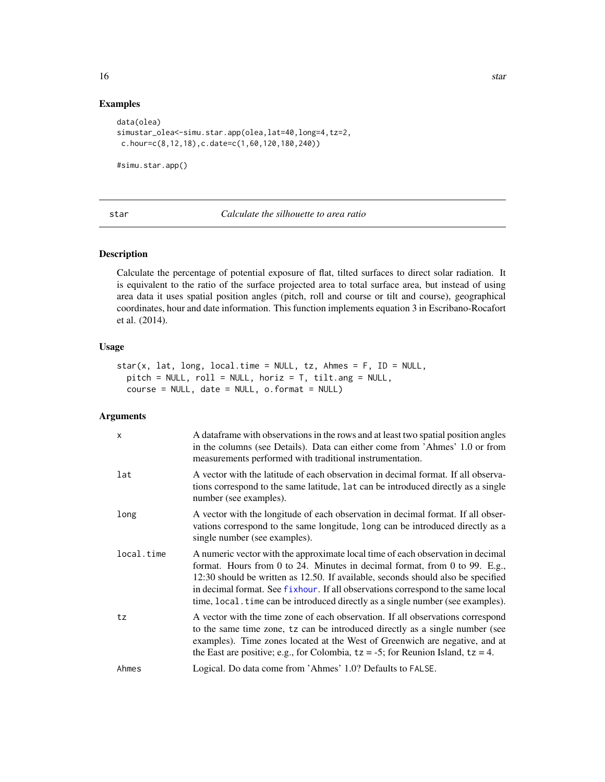#### <span id="page-15-0"></span>Examples

```
data(olea)
simustar_olea<-simu.star.app(olea,lat=40,long=4,tz=2,
c.hour=c(8,12,18),c.date=c(1,60,120,180,240))
```
#simu.star.app()

<span id="page-15-1"></span>star *Calculate the silhouette to area ratio*

#### Description

Calculate the percentage of potential exposure of flat, tilted surfaces to direct solar radiation. It is equivalent to the ratio of the surface projected area to total surface area, but instead of using area data it uses spatial position angles (pitch, roll and course or tilt and course), geographical coordinates, hour and date information. This function implements equation 3 in Escribano-Rocafort et al. (2014).

#### Usage

```
star(x, lat, long, local.time = NULL, tz, Ahmes = F, ID = NULL,
 pitch = NULL, roll = NULL, horiz = T, tilt.ang = NULL,
 course = NULL, date = NULL, o.format = NULL)
```
#### Arguments

| X          | A data frame with observations in the rows and at least two spatial position angles<br>in the columns (see Details). Data can either come from 'Ahmes' 1.0 or from<br>measurements performed with traditional instrumentation.                                                                                                                                                                                           |
|------------|--------------------------------------------------------------------------------------------------------------------------------------------------------------------------------------------------------------------------------------------------------------------------------------------------------------------------------------------------------------------------------------------------------------------------|
| lat        | A vector with the latitude of each observation in decimal format. If all observa-<br>tions correspond to the same latitude, Lat can be introduced directly as a single<br>number (see examples).                                                                                                                                                                                                                         |
| long       | A vector with the longitude of each observation in decimal format. If all obser-<br>vations correspond to the same longitude, long can be introduced directly as a<br>single number (see examples).                                                                                                                                                                                                                      |
| local.time | A numeric vector with the approximate local time of each observation in decimal<br>format. Hours from 0 to 24. Minutes in decimal format, from 0 to 99. E.g.,<br>12:30 should be written as 12.50. If available, seconds should also be specified<br>in decimal format. See fixhour. If all observations correspond to the same local<br>time, local. time can be introduced directly as a single number (see examples). |
| tz         | A vector with the time zone of each observation. If all observations correspond<br>to the same time zone, tz can be introduced directly as a single number (see<br>examples). Time zones located at the West of Greenwich are negative, and at<br>the East are positive; e.g., for Colombia, $tz = -5$ ; for Reunion Island, $tz = 4$ .                                                                                  |
| Ahmes      | Logical. Do data come from 'Ahmes' 1.0? Defaults to FALSE.                                                                                                                                                                                                                                                                                                                                                               |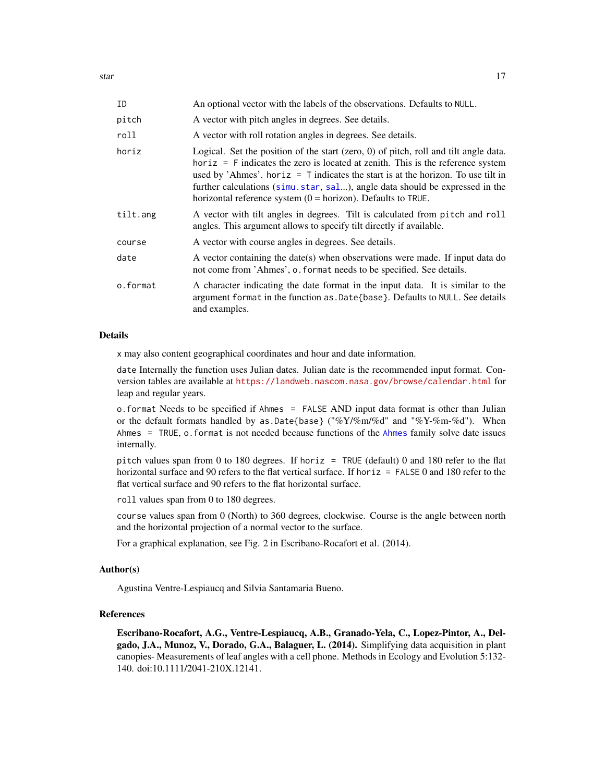<span id="page-16-0"></span>

| ΙD       | An optional vector with the labels of the observations. Defaults to NULL.                                                                                                                                                                                                                                                                                                                                             |
|----------|-----------------------------------------------------------------------------------------------------------------------------------------------------------------------------------------------------------------------------------------------------------------------------------------------------------------------------------------------------------------------------------------------------------------------|
| pitch    | A vector with pitch angles in degrees. See details.                                                                                                                                                                                                                                                                                                                                                                   |
| roll     | A vector with roll rotation angles in degrees. See details.                                                                                                                                                                                                                                                                                                                                                           |
| horiz    | Logical. Set the position of the start (zero, $0$ ) of pitch, roll and tilt angle data.<br>horiz = $F$ indicates the zero is located at zenith. This is the reference system<br>used by 'Ahmes'. horiz = $T$ indicates the start is at the horizon. To use tilt in<br>further calculations (simu.star, sal), angle data should be expressed in the<br>horizontal reference system $(0 = horizon)$ . Defaults to TRUE. |
| tilt.ang | A vector with tilt angles in degrees. Tilt is calculated from pitch and roll<br>angles. This argument allows to specify tilt directly if available.                                                                                                                                                                                                                                                                   |
| course   | A vector with course angles in degrees. See details.                                                                                                                                                                                                                                                                                                                                                                  |
| date     | A vector containing the date(s) when observations were made. If input data do<br>not come from 'Ahmes', o. format needs to be specified. See details.                                                                                                                                                                                                                                                                 |
| o.format | A character indicating the date format in the input data. It is similar to the<br>argument format in the function as . Date {base}. Defaults to NULL. See details<br>and examples.                                                                                                                                                                                                                                    |

#### Details

x may also content geographical coordinates and hour and date information.

date Internally the function uses Julian dates. Julian date is the recommended input format. Conversion tables are available at <https://landweb.nascom.nasa.gov/browse/calendar.html> for leap and regular years.

o.format Needs to be specified if Ahmes = FALSE AND input data format is other than Julian or the default formats handled by as.Date{base} ("% $Y$ /%m/%d" and "% $Y$ -%m-%d"). When Ahmes = TRUE, o.format is not needed because functions of the [Ahmes](#page-1-1) family solve date issues internally.

pitch values span from 0 to 180 degrees. If horiz = TRUE (default) 0 and 180 refer to the flat horizontal surface and 90 refers to the flat vertical surface. If horiz = FALSE 0 and 180 refer to the flat vertical surface and 90 refers to the flat horizontal surface.

roll values span from 0 to 180 degrees.

course values span from 0 (North) to 360 degrees, clockwise. Course is the angle between north and the horizontal projection of a normal vector to the surface.

For a graphical explanation, see Fig. 2 in Escribano-Rocafort et al. (2014).

#### Author(s)

Agustina Ventre-Lespiaucq and Silvia Santamaria Bueno.

#### References

Escribano-Rocafort, A.G., Ventre-Lespiaucq, A.B., Granado-Yela, C., Lopez-Pintor, A., Delgado, J.A., Munoz, V., Dorado, G.A., Balaguer, L. (2014). Simplifying data acquisition in plant canopies- Measurements of leaf angles with a cell phone. Methods in Ecology and Evolution 5:132- 140. doi:10.1111/2041-210X.12141.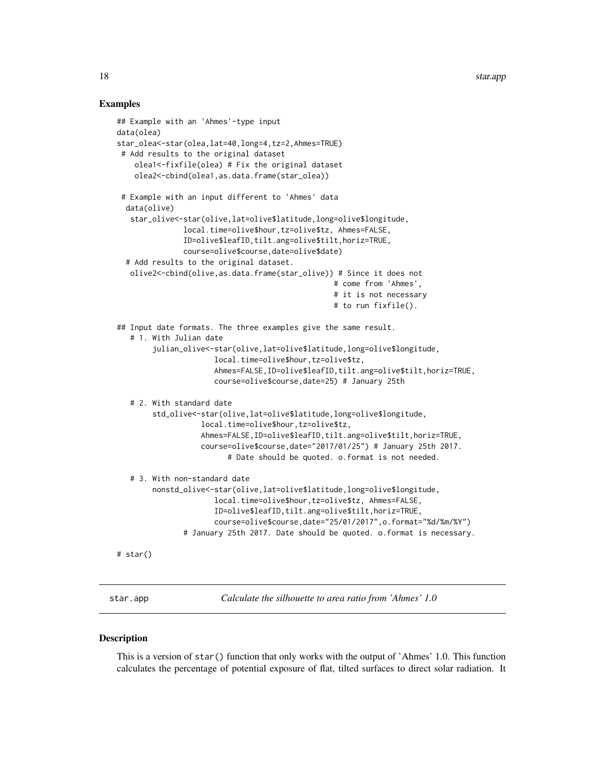#### Examples

```
## Example with an 'Ahmes'-type input
data(olea)
star_olea<-star(olea,lat=40,long=4,tz=2,Ahmes=TRUE)
# Add results to the original dataset
    olea1<-fixfile(olea) # Fix the original dataset
    olea2<-cbind(olea1,as.data.frame(star_olea))
 # Example with an input different to 'Ahmes' data
 data(olive)
   star_olive<-star(olive,lat=olive$latitude,long=olive$longitude,
               local.time=olive$hour,tz=olive$tz, Ahmes=FALSE,
               ID=olive$leafID,tilt.ang=olive$tilt,horiz=TRUE,
               course=olive$course,date=olive$date)
 # Add results to the original dataset.
  olive2<-cbind(olive,as.data.frame(star_olive)) # Since it does not
                                                 # come from 'Ahmes',
                                                 # it is not necessary
                                                 # to run fixfile().
## Input date formats. The three examples give the same result.
   # 1. With Julian date
        julian_olive<-star(olive,lat=olive$latitude,long=olive$longitude,
                      local.time=olive$hour,tz=olive$tz,
                      Ahmes=FALSE,ID=olive$leafID,tilt.ang=olive$tilt,horiz=TRUE,
                      course=olive$course,date=25) # January 25th
   # 2. With standard date
        std_olive<-star(olive,lat=olive$latitude,long=olive$longitude,
                   local.time=olive$hour,tz=olive$tz,
                   Ahmes=FALSE,ID=olive$leafID,tilt.ang=olive$tilt,horiz=TRUE,
                   course=olive$course,date="2017/01/25") # January 25th 2017.
                         # Date should be quoted. o.format is not needed.
  # 3. With non-standard date
        nonstd_olive<-star(olive,lat=olive$latitude,long=olive$longitude,
                      local.time=olive$hour,tz=olive$tz, Ahmes=FALSE,
                      ID=olive$leafID,tilt.ang=olive$tilt,horiz=TRUE,
                      course=olive$course,date="25/01/2017",o.format="%d/%m/%Y")
               # January 25th 2017. Date should be quoted. o.format is necessary.
# star()
```
<span id="page-17-1"></span>star.app *Calculate the silhouette to area ratio from 'Ahmes' 1.0*

#### **Description**

This is a version of star() function that only works with the output of 'Ahmes' 1.0. This function calculates the percentage of potential exposure of flat, tilted surfaces to direct solar radiation. It

<span id="page-17-0"></span>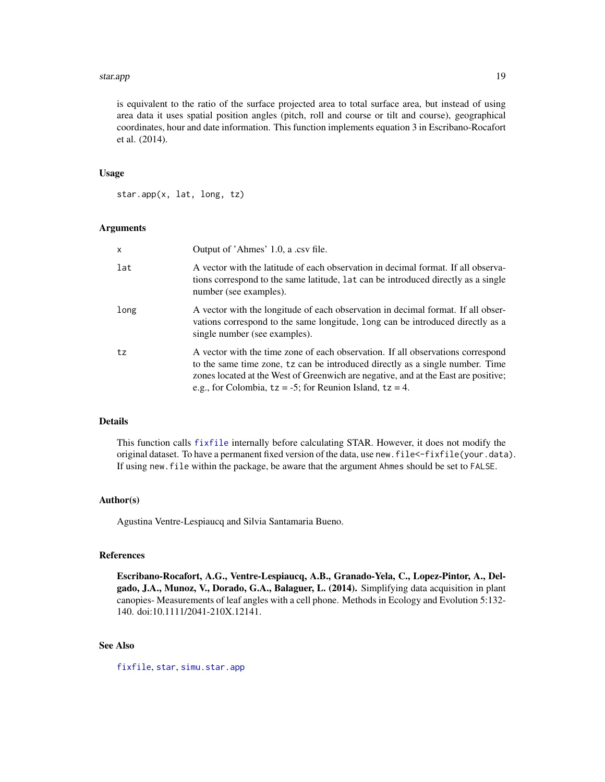#### <span id="page-18-0"></span>star.app and the star of the star app and the star app and the star app and the star app and the star app and the star app and the star app and the star app and the star app and the star app and the star app and the star a

is equivalent to the ratio of the surface projected area to total surface area, but instead of using area data it uses spatial position angles (pitch, roll and course or tilt and course), geographical coordinates, hour and date information. This function implements equation 3 in Escribano-Rocafort et al. (2014).

#### Usage

star.app(x, lat, long, tz)

#### Arguments

| $\mathsf{x}$ | Output of 'Ahmes' 1.0, a .csv file.                                                                                                                                                                                                                                                                                      |
|--------------|--------------------------------------------------------------------------------------------------------------------------------------------------------------------------------------------------------------------------------------------------------------------------------------------------------------------------|
| lat          | A vector with the latitude of each observation in decimal format. If all observa-<br>tions correspond to the same latitude, Lat can be introduced directly as a single<br>number (see examples).                                                                                                                         |
| long         | A vector with the longitude of each observation in decimal format. If all obser-<br>vations correspond to the same longitude, long can be introduced directly as a<br>single number (see examples).                                                                                                                      |
| tz           | A vector with the time zone of each observation. If all observations correspond<br>to the same time zone, tz can be introduced directly as a single number. Time<br>zones located at the West of Greenwich are negative, and at the East are positive;<br>e.g., for Colombia, $tz = -5$ ; for Reunion Island, $tz = 4$ . |

#### Details

This function calls [fixfile](#page-3-1) internally before calculating STAR. However, it does not modify the original dataset. To have a permanent fixed version of the data, use new.file<-fixfile(your.data). If using new.file within the package, be aware that the argument Ahmes should be set to FALSE.

#### Author(s)

Agustina Ventre-Lespiaucq and Silvia Santamaria Bueno.

#### References

Escribano-Rocafort, A.G., Ventre-Lespiaucq, A.B., Granado-Yela, C., Lopez-Pintor, A., Delgado, J.A., Munoz, V., Dorado, G.A., Balaguer, L. (2014). Simplifying data acquisition in plant canopies- Measurements of leaf angles with a cell phone. Methods in Ecology and Evolution 5:132- 140. doi:10.1111/2041-210X.12141.

### See Also

[fixfile](#page-3-1), [star](#page-15-1), [simu.star.app](#page-13-1)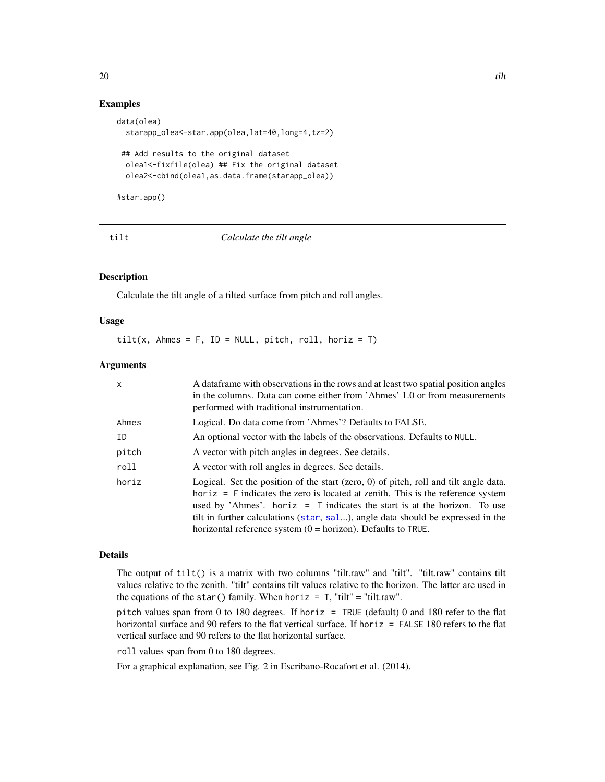### <span id="page-19-0"></span>Examples

```
data(olea)
 starapp_olea<-star.app(olea,lat=40,long=4,tz=2)
## Add results to the original dataset
 olea1<-fixfile(olea) ## Fix the original dataset
 olea2<-cbind(olea1,as.data.frame(starapp_olea))
```
#star.app()

tilt *Calculate the tilt angle*

#### Description

Calculate the tilt angle of a tilted surface from pitch and roll angles.

#### Usage

 $tilt(x, Ahmes = F, ID = NULL, pitch, roll, horiz = T)$ 

#### **Arguments**

| X     | A data frame with observations in the rows and at least two spatial position angles<br>in the columns. Data can come either from 'Ahmes' 1.0 or from measurements<br>performed with traditional instrumentation.                                                                                                                                                                                              |
|-------|---------------------------------------------------------------------------------------------------------------------------------------------------------------------------------------------------------------------------------------------------------------------------------------------------------------------------------------------------------------------------------------------------------------|
| Ahmes | Logical. Do data come from 'Ahmes'? Defaults to FALSE.                                                                                                                                                                                                                                                                                                                                                        |
| ID    | An optional vector with the labels of the observations. Defaults to NULL.                                                                                                                                                                                                                                                                                                                                     |
| pitch | A vector with pitch angles in degrees. See details.                                                                                                                                                                                                                                                                                                                                                           |
| roll  | A vector with roll angles in degrees. See details.                                                                                                                                                                                                                                                                                                                                                            |
| horiz | Logical. Set the position of the start (zero, 0) of pitch, roll and tilt angle data.<br>$horiz = F$ indicates the zero is located at zenith. This is the reference system<br>used by 'Ahmes'. horiz $=$ T indicates the start is at the horizon. To use<br>tilt in further calculations (star, sal), angle data should be expressed in the<br>horizontal reference system $(0 = horizon)$ . Defaults to TRUE. |

#### Details

The output of tilt() is a matrix with two columns "tilt.raw" and "tilt". "tilt.raw" contains tilt values relative to the zenith. "tilt" contains tilt values relative to the horizon. The latter are used in the equations of the star() family. When horiz =  $T$ , "tilt" = "tilt.raw".

pitch values span from 0 to 180 degrees. If horiz = TRUE (default) 0 and 180 refer to the flat horizontal surface and 90 refers to the flat vertical surface. If horiz = FALSE 180 refers to the flat vertical surface and 90 refers to the flat horizontal surface.

roll values span from 0 to 180 degrees.

For a graphical explanation, see Fig. 2 in Escribano-Rocafort et al. (2014).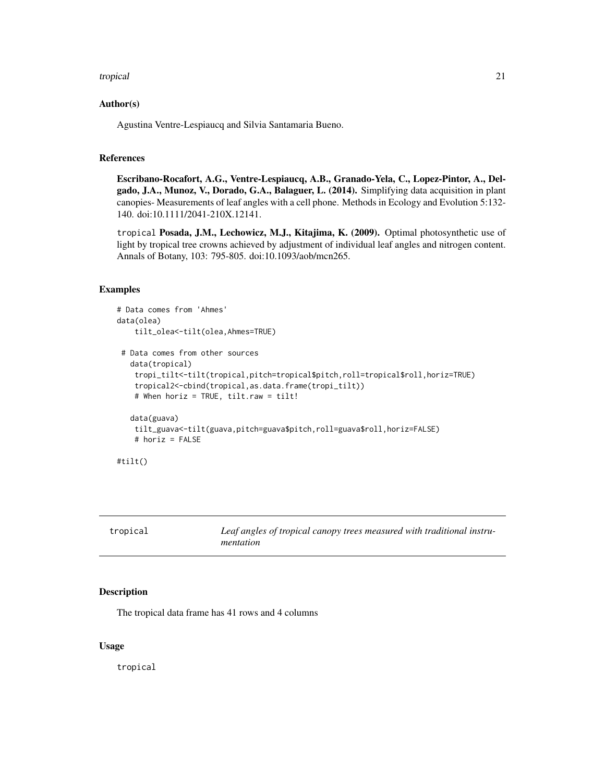#### <span id="page-20-0"></span>tropical 21

#### Author(s)

Agustina Ventre-Lespiaucq and Silvia Santamaria Bueno.

#### References

Escribano-Rocafort, A.G., Ventre-Lespiaucq, A.B., Granado-Yela, C., Lopez-Pintor, A., Delgado, J.A., Munoz, V., Dorado, G.A., Balaguer, L. (2014). Simplifying data acquisition in plant canopies- Measurements of leaf angles with a cell phone. Methods in Ecology and Evolution 5:132- 140. doi:10.1111/2041-210X.12141.

tropical Posada, J.M., Lechowicz, M.J., Kitajima, K. (2009). Optimal photosynthetic use of light by tropical tree crowns achieved by adjustment of individual leaf angles and nitrogen content. Annals of Botany, 103: 795-805. doi:10.1093/aob/mcn265.

#### Examples

```
# Data comes from 'Ahmes'
data(olea)
    tilt_olea<-tilt(olea,Ahmes=TRUE)
 # Data comes from other sources
  data(tropical)
    tropi_tilt<-tilt(tropical,pitch=tropical$pitch,roll=tropical$roll,horiz=TRUE)
    tropical2<-cbind(tropical,as.data.frame(tropi_tilt))
    # When horiz = TRUE, tilt.raw = tilt!
  data(guava)
   tilt_guava<-tilt(guava,pitch=guava$pitch,roll=guava$roll,horiz=FALSE)
   # horiz = FALSE
#tilt()
```

| tropical | Leaf angles of tropical canopy trees measured with traditional instru- |
|----------|------------------------------------------------------------------------|
|          | mentation                                                              |

#### Description

The tropical data frame has 41 rows and 4 columns

#### Usage

tropical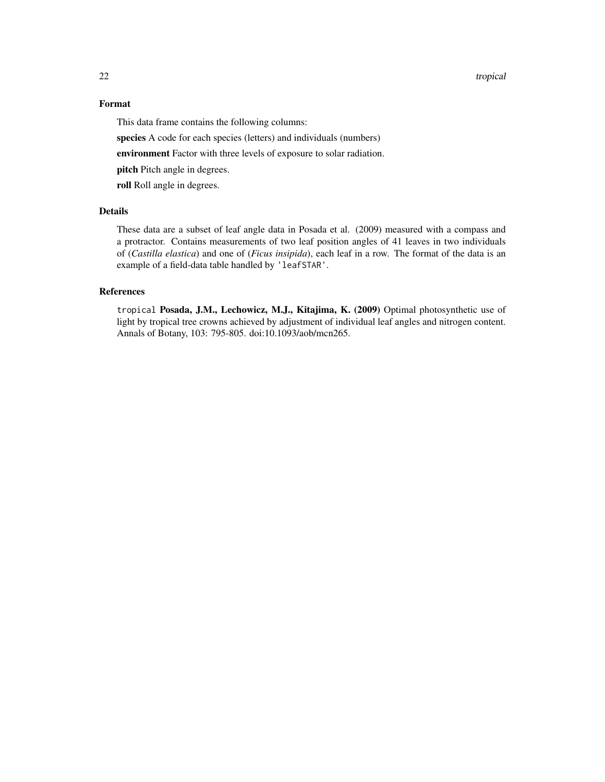#### 22 tropical control of the control of the control of the control of the control of the control of the control of the control of the control of the control of the control of the control of the control of the control of the

#### Format

This data frame contains the following columns:

species A code for each species (letters) and individuals (numbers)

environment Factor with three levels of exposure to solar radiation.

pitch Pitch angle in degrees.

roll Roll angle in degrees.

#### Details

These data are a subset of leaf angle data in Posada et al. (2009) measured with a compass and a protractor. Contains measurements of two leaf position angles of 41 leaves in two individuals of (*Castilla elastica*) and one of (*Ficus insipida*), each leaf in a row. The format of the data is an example of a field-data table handled by 'leafSTAR'.

#### References

tropical Posada, J.M., Lechowicz, M.J., Kitajima, K. (2009) Optimal photosynthetic use of light by tropical tree crowns achieved by adjustment of individual leaf angles and nitrogen content. Annals of Botany, 103: 795-805. doi:10.1093/aob/mcn265.